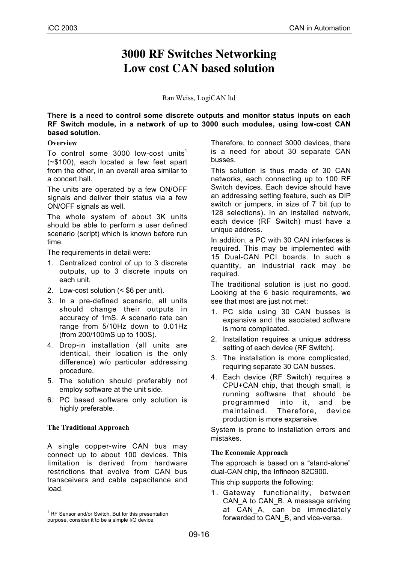## **3000 RF Switches Networking Low cost CAN based solution**

Ran Weiss, LogiCAN ltd

**There is a need to control some discrete outputs and monitor status inputs on each RF Switch module, in a network of up to 3000 such modules, using low-cost CAN based solution.**

## **Overview**

To control some  $3000$  low-cost units<sup>1</sup> (~\$100), each located a few feet apart from the other, in an overall area similar to a concert hall.

The units are operated by a few ON/OFF signals and deliver their status via a few ON/OFF signals as well.

The whole system of about 3K units should be able to perform a user defined scenario (script) which is known before run time.

The requirements in detail were:

- 1. Centralized control of up to 3 discrete outputs, up to 3 discrete inputs on each unit.
- 2. Low-cost solution (< \$6 per unit).
- 3. In a pre-defined scenario, all units should change their outputs in accuracy of 1mS. A scenario rate can range from 5/10Hz down to 0.01Hz (from 200/100mS up to 100S).
- 4. Drop-in installation (all units are identical, their location is the only difference) w/o particular addressing procedure.
- 5. The solution should preferably not employ software at the unit side.
- 6. PC based software only solution is highly preferable.

## **The Traditional Approach**

A single copper-wire CAN bus may connect up to about 100 devices. This limitation is derived from hardware restrictions that evolve from CAN bus transceivers and cable capacitance and load.

Therefore, to connect 3000 devices, there is a need for about 30 separate CAN busses.

This solution is thus made of 30 CAN networks, each connecting up to 100 RF Switch devices. Each device should have an addressing setting feature, such as DIP switch or jumpers, in size of 7 bit (up to 128 selections). In an installed network, each device (RF Switch) must have a unique address.

In addition, a PC with 30 CAN interfaces is required. This may be implemented with 15 Dual-CAN PCI boards. In such a quantity, an industrial rack may be required.

The traditional solution is just no good. Looking at the 6 basic requirements, we see that most are just not met:

- 1. PC side using 30 CAN busses is expansive and the asociated software is more complicated.
- 2. Installation requires a unique address setting of each device (RF Switch).
- 3. The installation is more complicated, requiring separate 30 CAN busses.
- 4. Each device (RF Switch) requires a CPU+CAN chip, that though small, is running software that should be programmed into it, and be maintained. Therefore, device production is more expansive.

System is prone to installation errors and mistakes.

## **The Economic Approach**

The approach is based on a "stand-alone" dual-CAN chip, the Infineon 82C900.

This chip supports the following:

1. Gateway functionality, between CAN\_A to CAN\_B. A message arriving at CAN\_A, can be immediately forwarded to CAN\_B, and vice-versa.

 $\frac{1}{1}$  $1$  RF Sensor and/or Switch. But for this presentation purpose, consider it to be a simple I/O device.